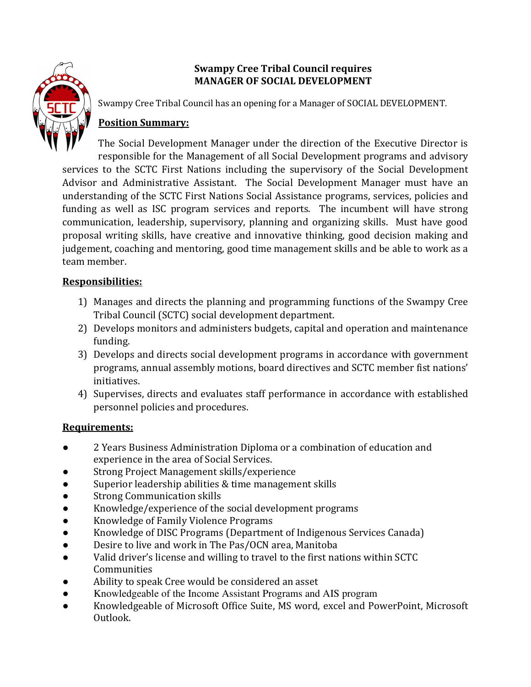

## **Swampy Cree Tribal Council requires MANAGER OF SOCIAL DEVELOPMENT**

Swampy Cree Tribal Council has an opening for a Manager of SOCIAL DEVELOPMENT.

# **Position Summary:**

The Social Development Manager under the direction of the Executive Director is responsible for the Management of all Social Development programs and advisory services to the SCTC First Nations including the supervisory of the Social Development Advisor and Administrative Assistant. The Social Development Manager must have an understanding of the SCTC First Nations Social Assistance programs, services, policies and funding as well as ISC program services and reports. The incumbent will have strong communication, leadership, supervisory, planning and organizing skills. Must have good proposal writing skills, have creative and innovative thinking, good decision making and judgement, coaching and mentoring, good time management skills and be able to work as a team member.

## **Responsibilities:**

- 1) Manages and directs the planning and programming functions of the Swampy Cree Tribal Council (SCTC) social development department.
- 2) Develops monitors and administers budgets, capital and operation and maintenance funding.
- 3) Develops and directs social development programs in accordance with government programs, annual assembly motions, board directives and SCTC member fist nations' initiatives.
- 4) Supervises, directs and evaluates staff performance in accordance with established personnel policies and procedures.

## **Requirements:**

- 2 Years Business Administration Diploma or a combination of education and experience in the area of Social Services.
- Strong Project Management skills/experience
- Superior leadership abilities & time management skills
- **Strong Communication skills**
- Knowledge/experience of the social development programs
- Knowledge of Family Violence Programs
- Knowledge of DISC Programs (Department of Indigenous Services Canada)
- Desire to live and work in The Pas/OCN area, Manitoba
- Valid driver's license and willing to travel to the first nations within SCTC **Communities**
- Ability to speak Cree would be considered an asset
- Knowledgeable of the Income Assistant Programs and AIS program
- Knowledgeable of Microsoft Office Suite, MS word, excel and PowerPoint, Microsoft Outlook.